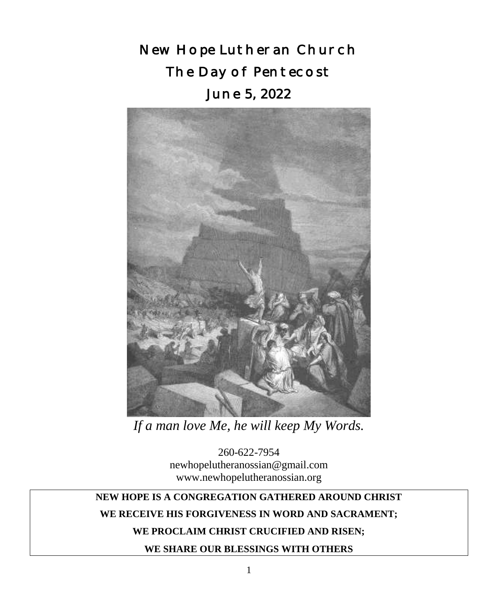New Hope Lutheran Church The Day of Pentecost June 5, 2022



*If a man love Me, he will keep My Words.*

260-622-7954 newhopelutheranossian@gmail.com www.newhopelutheranossian.org

# **NEW HOPE IS A CONGREGATION GATHERED AROUND CHRIST**

## **WE RECEIVE HIS FORGIVENESS IN WORD AND SACRAMENT;**

## **WE PROCLAIM CHRIST CRUCIFIED AND RISEN;**

**WE SHARE OUR BLESSINGS WITH OTHERS**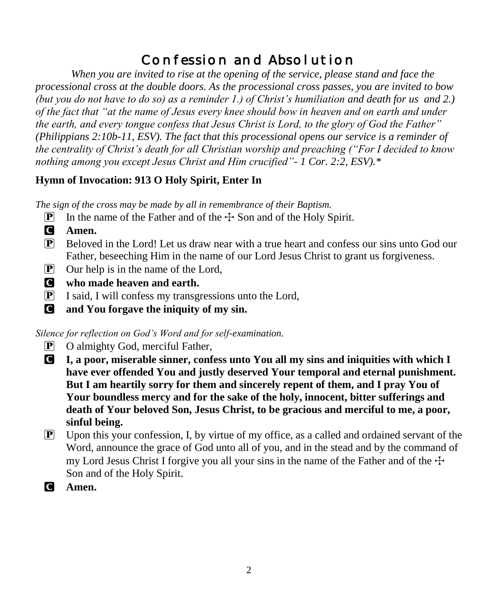# Confession and Absolution

*When you are invited to rise at the opening of the service, please stand and face the processional cross at the double doors. As the processional cross passes, you are invited to bow (but you do not have to do so) as a reminder 1.) of Christ's humiliation and death for us and 2.) of the fact that "at the name of Jesus every knee should bow in heaven and on earth and under the earth, and every tongue confess that Jesus Christ is Lord, to the glory of God the Father" (Philippians 2:10b-11, ESV). The fact that this processional opens our service is a reminder of the centrality of Christ's death for all Christian worship and preaching ("For I decided to know nothing among you except Jesus Christ and Him crucified"- 1 Cor. 2:2, ESV).\**

# **Hymn of Invocation: 913 O Holy Spirit, Enter In**

*The sign of the cross may be made by all in remembrance of their Baptism.*

- **P** In the name of the Father and of the  $\pm$  Son and of the Holy Spirit.
- C **Amen.**
- $\mathbb{P}$  Beloved in the Lord! Let us draw near with a true heart and confess our sins unto God our Father, beseeching Him in the name of our Lord Jesus Christ to grant us forgiveness.
- $\boxed{\mathbf{P}}$  Our help is in the name of the Lord,
- C **who made heaven and earth.**
- P I said, I will confess my transgressions unto the Lord,
- C **and You forgave the iniquity of my sin.**

*Silence for reflection on God's Word and for self-examination.*

- P O almighty God, merciful Father,
- C **I, a poor, miserable sinner, confess unto You all my sins and iniquities with which I have ever offended You and justly deserved Your temporal and eternal punishment. But I am heartily sorry for them and sincerely repent of them, and I pray You of Your boundless mercy and for the sake of the holy, innocent, bitter sufferings and death of Your beloved Son, Jesus Christ, to be gracious and merciful to me, a poor, sinful being.**
- $\mathbb{P}$  Upon this your confession, I, by virtue of my office, as a called and ordained servant of the Word, announce the grace of God unto all of you, and in the stead and by the command of my Lord Jesus Christ I forgive you all your sins in the name of the Father and of the  $\pm$ Son and of the Holy Spirit.
- C **Amen.**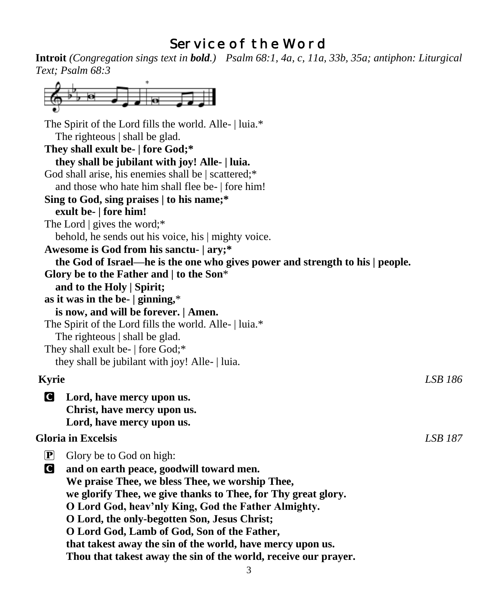# Service of the Word

**Introit** *(Congregation sings text in bold.) Psalm 68:1, 4a, c, 11a, 33b, 35a; antiphon: Liturgical Text; Psalm 68:3* i.

| ÷                                                      |                                                                               |                |
|--------------------------------------------------------|-------------------------------------------------------------------------------|----------------|
|                                                        |                                                                               |                |
| The Spirit of the Lord fills the world. Alle-   luia.* |                                                                               |                |
| The righteous   shall be glad.                         |                                                                               |                |
| They shall exult be-   fore God;*                      |                                                                               |                |
| they shall be jubilant with joy! Alle-   luia.         |                                                                               |                |
| God shall arise, his enemies shall be   scattered;*    |                                                                               |                |
| and those who hate him shall flee be-   fore him!      |                                                                               |                |
| Sing to God, sing praises   to his name;*              |                                                                               |                |
| exult be-   fore him!                                  |                                                                               |                |
| The Lord $\vert$ gives the word;*                      |                                                                               |                |
| behold, he sends out his voice, his   mighty voice.    |                                                                               |                |
| Awesome is God from his sanctu-   ary;*                |                                                                               |                |
|                                                        | the God of Israel—he is the one who gives power and strength to his   people. |                |
| Glory be to the Father and $ $ to the Son*             |                                                                               |                |
| and to the Holy   Spirit;                              |                                                                               |                |
| as it was in the be- $ $ ginning,*                     |                                                                               |                |
| is now, and will be forever.   Amen.                   |                                                                               |                |
| The Spirit of the Lord fills the world. Alle-   luia.* |                                                                               |                |
| The righteous   shall be glad.                         |                                                                               |                |
| They shall exult be-   fore God;*                      |                                                                               |                |
| they shall be jubilant with joy! Alle-   luia.         |                                                                               |                |
| Kyrie                                                  |                                                                               | LSB 186        |
| O<br>Lord, have mercy upon us.                         |                                                                               |                |
| Christ, have mercy upon us.                            |                                                                               |                |
| Lord, have mercy upon us.                              |                                                                               |                |
|                                                        |                                                                               |                |
| <b>Gloria in Excelsis</b>                              |                                                                               | <b>LSB 187</b> |
| $\mathbf{P}$<br>Glory be to God on high:               |                                                                               |                |
| C<br>and on earth peace, goodwill toward men.          |                                                                               |                |
|                                                        | We praise Thee, we bless Thee, we worship Thee,                               |                |
|                                                        | we glorify Thee, we give thanks to Thee, for Thy great glory.                 |                |
|                                                        | O Lord God, heav'nly King, God the Father Almighty.                           |                |
|                                                        | O Lord, the only-begotten Son, Jesus Christ;                                  |                |
|                                                        | O Lord God, Lamb of God, Son of the Father,                                   |                |
|                                                        | that takest away the sin of the world, have mercy upon us.                    |                |
|                                                        | Thou that takest away the sin of the world, receive our prayer.               |                |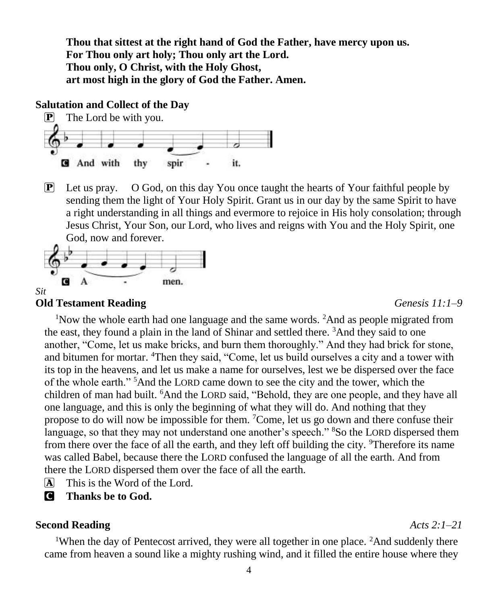**Thou that sittest at the right hand of God the Father, have mercy upon us. For Thou only art holy; Thou only art the Lord. Thou only, O Christ, with the Holy Ghost, art most high in the glory of God the Father. Amen.**

#### **Salutation and Collect of the Day**



 $\mathbb{P}$  Let us pray. O God, on this day You once taught the hearts of Your faithful people by sending them the light of Your Holy Spirit. Grant us in our day by the same Spirit to have a right understanding in all things and evermore to rejoice in His holy consolation; through Jesus Christ, Your Son, our Lord, who lives and reigns with You and the Holy Spirit, one God, now and forever.



#### **Old Testament Reading** *Genesis 11:1–9*

<sup>1</sup>Now the whole earth had one language and the same words. <sup>2</sup>And as people migrated from the east, they found a plain in the land of Shinar and settled there.  ${}^{3}$ And they said to one another, "Come, let us make bricks, and burn them thoroughly." And they had brick for stone, and bitumen for mortar. <sup>4</sup>Then they said, "Come, let us build ourselves a city and a tower with its top in the heavens, and let us make a name for ourselves, lest we be dispersed over the face of the whole earth." <sup>5</sup>And the LORD came down to see the city and the tower, which the children of man had built. <sup>6</sup>And the LORD said, "Behold, they are one people, and they have all one language, and this is only the beginning of what they will do. And nothing that they propose to do will now be impossible for them. <sup>7</sup>Come, let us go down and there confuse their language, so that they may not understand one another's speech." <sup>8</sup>So the LORD dispersed them from there over the face of all the earth, and they left off building the city. <sup>9</sup>Therefore its name was called Babel, because there the LORD confused the language of all the earth. And from there the LORD dispersed them over the face of all the earth.

- $\overline{A}$  This is the Word of the Lord.
- **C** Thanks be to God.

#### **Second Reading** *Acts 2:1–21*

<sup>1</sup>When the day of Pentecost arrived, they were all together in one place. <sup>2</sup>And suddenly there came from heaven a sound like a mighty rushing wind, and it filled the entire house where they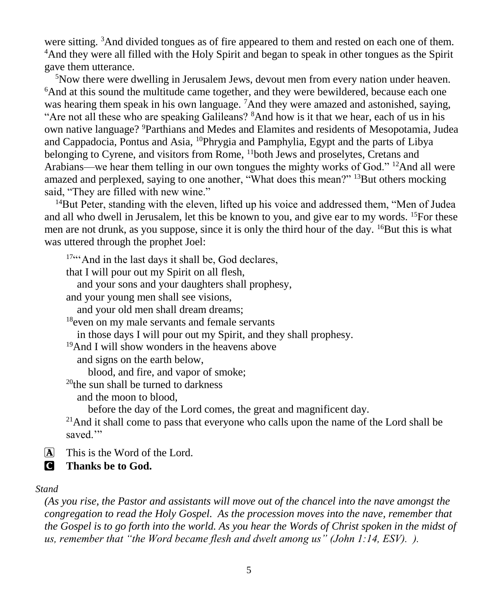were sitting. <sup>3</sup>And divided tongues as of fire appeared to them and rested on each one of them. <sup>4</sup>And they were all filled with the Holy Spirit and began to speak in other tongues as the Spirit gave them utterance.

<sup>5</sup>Now there were dwelling in Jerusalem Jews, devout men from every nation under heaven. <sup>6</sup>And at this sound the multitude came together, and they were bewildered, because each one was hearing them speak in his own language. <sup>7</sup>And they were amazed and astonished, saying, "Are not all these who are speaking Galileans? <sup>8</sup>And how is it that we hear, each of us in his own native language? <sup>9</sup>Parthians and Medes and Elamites and residents of Mesopotamia, Judea and Cappadocia, Pontus and Asia, <sup>10</sup>Phrygia and Pamphylia, Egypt and the parts of Libya belonging to Cyrene, and visitors from Rome, <sup>11</sup>both Jews and proselytes, Cretans and Arabians—we hear them telling in our own tongues the mighty works of God."  $12$ And all were amazed and perplexed, saying to one another, "What does this mean?" <sup>13</sup>But others mocking said, "They are filled with new wine."

<sup>14</sup>But Peter, standing with the eleven, lifted up his voice and addressed them, "Men of Judea" and all who dwell in Jerusalem, let this be known to you, and give ear to my words. <sup>15</sup>For these men are not drunk, as you suppose, since it is only the third hour of the day.  ${}^{16}$ But this is what was uttered through the prophet Joel:

17""And in the last days it shall be, God declares,

that I will pour out my Spirit on all flesh,

and your sons and your daughters shall prophesy,

and your young men shall see visions,

and your old men shall dream dreams;

<sup>18</sup>even on my male servants and female servants

in those days I will pour out my Spirit, and they shall prophesy.

<sup>19</sup>And I will show wonders in the heavens above

and signs on the earth below,

blood, and fire, and vapor of smoke;

 $^{20}$ the sun shall be turned to darkness

and the moon to blood,

before the day of the Lord comes, the great and magnificent day.

<sup>21</sup>And it shall come to pass that everyone who calls upon the name of the Lord shall be saved."

A This is the Word of the Lord.

C **Thanks be to God.**

#### *Stand*

*(As you rise, the Pastor and assistants will move out of the chancel into the nave amongst the congregation to read the Holy Gospel. As the procession moves into the nave, remember that the Gospel is to go forth into the world. As you hear the Words of Christ spoken in the midst of us, remember that "the Word became flesh and dwelt among us" (John 1:14, ESV). ).*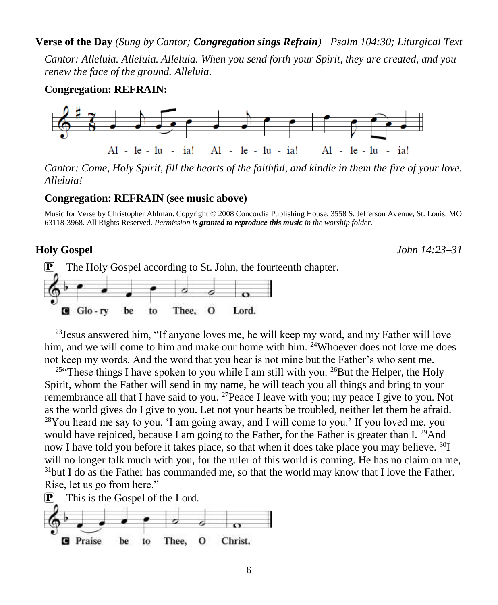**Verse of the Day** *(Sung by Cantor; Congregation sings Refrain) Psalm 104:30; Liturgical Text*

*Cantor: Alleluia. Alleluia. Alleluia. When you send forth your Spirit, they are created, and you renew the face of the ground. Alleluia.*

#### **Congregation: REFRAIN:**



*Cantor: Come, Holy Spirit, fill the hearts of the faithful, and kindle in them the fire of your love. Alleluia!*

#### **Congregation: REFRAIN (see music above)**

Music for Verse by Christopher Ahlman. Copyright © 2008 Concordia Publishing House, 3558 S. Jefferson Avenue, St. Louis, MO 63118-3968. All Rights Reserved. *Permission is granted to reproduce this music in the worship folder.*

**Holy Gospel** *John 14:23–31*

![](_page_5_Figure_9.jpeg)

<sup>23</sup> Jesus answered him, "If anyone loves me, he will keep my word, and my Father will love him, and we will come to him and make our home with him. <sup>24</sup>Whoever does not love me does not keep my words. And the word that you hear is not mine but the Father's who sent me.

<sup>25</sup> These things I have spoken to you while I am still with you. <sup>26</sup>But the Helper, the Holy Spirit, whom the Father will send in my name, he will teach you all things and bring to your remembrance all that I have said to you. <sup>27</sup>Peace I leave with you; my peace I give to you. Not as the world gives do I give to you. Let not your hearts be troubled, neither let them be afraid.  $28$ You heard me say to you, 'I am going away, and I will come to you.' If you loved me, you would have rejoiced, because I am going to the Father, for the Father is greater than I.<sup>29</sup>And now I have told you before it takes place, so that when it does take place you may believe. <sup>30</sup>I will no longer talk much with you, for the ruler of this world is coming. He has no claim on me,  $31$ but I do as the Father has commanded me, so that the world may know that I love the Father. Rise, let us go from here."

![](_page_5_Figure_12.jpeg)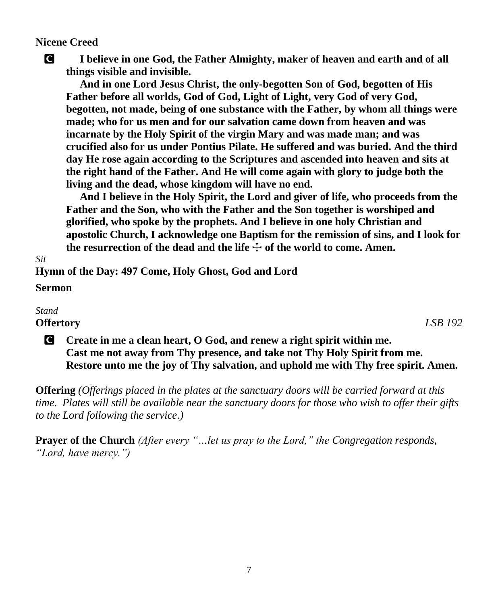### **Nicene Creed**

C **I believe in one God, the Father Almighty, maker of heaven and earth and of all things visible and invisible.**

 **And in one Lord Jesus Christ, the only-begotten Son of God, begotten of His Father before all worlds, God of God, Light of Light, very God of very God, begotten, not made, being of one substance with the Father, by whom all things were made; who for us men and for our salvation came down from heaven and was incarnate by the Holy Spirit of the virgin Mary and was made man; and was crucified also for us under Pontius Pilate. He suffered and was buried. And the third day He rose again according to the Scriptures and ascended into heaven and sits at the right hand of the Father. And He will come again with glory to judge both the living and the dead, whose kingdom will have no end.** 

 **And I believe in the Holy Spirit, the Lord and giver of life, who proceeds from the Father and the Son, who with the Father and the Son together is worshiped and glorified, who spoke by the prophets. And I believe in one holy Christian and apostolic Church, I acknowledge one Baptism for the remission of sins, and I look for**  the resurrection of the dead and the life  $\pm$  of the world to come. Amen.

**Hymn of the Day: 497 Come, Holy Ghost, God and Lord**

#### **Sermon**

### *Stand*

*Sit*

**Offertory** *LSB 192*

C **Create in me a clean heart, O God, and renew a right spirit within me. Cast me not away from Thy presence, and take not Thy Holy Spirit from me. Restore unto me the joy of Thy salvation, and uphold me with Thy free spirit. Amen.**

**Offering** *(Offerings placed in the plates at the sanctuary doors will be carried forward at this time. Plates will still be available near the sanctuary doors for those who wish to offer their gifts to the Lord following the service.)*

**Prayer of the Church** *(After every "…let us pray to the Lord," the Congregation responds, "Lord, have mercy.")*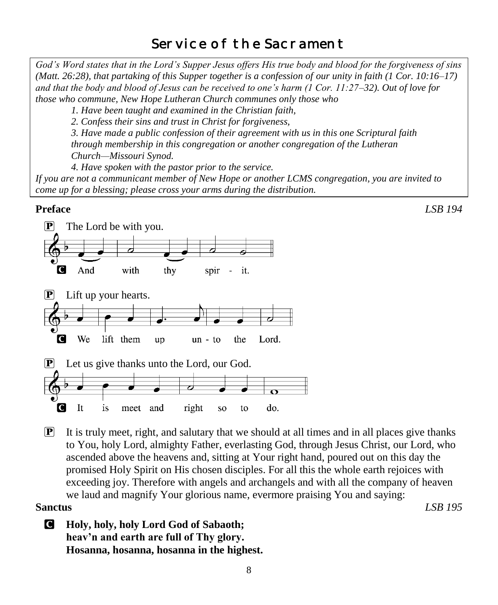# Service of the Sacrament

*God's Word states that in the Lord's Supper Jesus offers His true body and blood for the forgiveness of sins (Matt. 26:28), that partaking of this Supper together is a confession of our unity in faith (1 Cor. 10:16–17) and that the body and blood of Jesus can be received to one's harm (1 Cor. 11:27–32). Out of love for those who commune, New Hope Lutheran Church communes only those who*

*1. Have been taught and examined in the Christian faith,* 

*2. Confess their sins and trust in Christ for forgiveness,* 

*3. Have made a public confession of their agreement with us in this one Scriptural faith through membership in this congregation or another congregation of the Lutheran Church—Missouri Synod.* 

*4. Have spoken with the pastor prior to the service.*

*If you are not a communicant member of New Hope or another LCMS congregation, you are invited to come up for a blessing; please cross your arms during the distribution.*

### **Preface** *LSB 194*

![](_page_7_Figure_8.jpeg)

 $\mathbb{P}$  It is truly meet, right, and salutary that we should at all times and in all places give thanks to You, holy Lord, almighty Father, everlasting God, through Jesus Christ, our Lord, who ascended above the heavens and, sitting at Your right hand, poured out on this day the promised Holy Spirit on His chosen disciples. For all this the whole earth rejoices with exceeding joy. Therefore with angels and archangels and with all the company of heaven we laud and magnify Your glorious name, evermore praising You and saying: **Sanctus** *LSB 195*

C **Holy, holy, holy Lord God of Sabaoth; heav'n and earth are full of Thy glory. Hosanna, hosanna, hosanna in the highest.**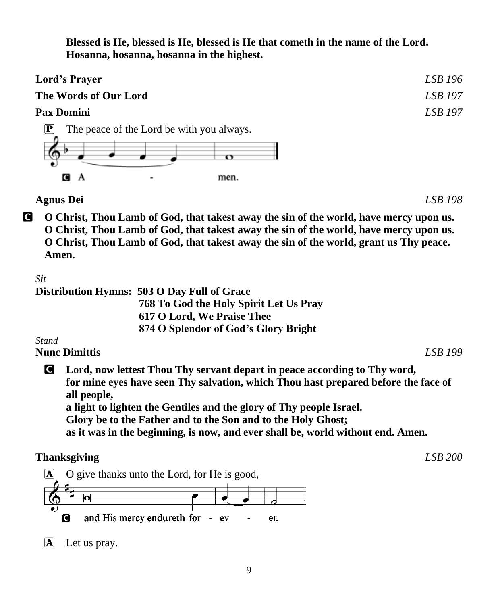**Blessed is He, blessed is He, blessed is He that cometh in the name of the Lord. Hosanna, hosanna, hosanna in the highest.**

| <b>Lord's Prayer</b>                          |                                                             | LSB 196 |
|-----------------------------------------------|-------------------------------------------------------------|---------|
| The Words of Our Lord                         |                                                             | LSB 197 |
| <b>Pax Domini</b>                             |                                                             | LSB 197 |
| $\left[\mathbf{P}\right]$<br>$\bullet$<br>GIA | The peace of the Lord be with you always.<br>ο<br>men.<br>۰ |         |
| <b>Agnus Dei</b>                              |                                                             | LSB 198 |

C **O Christ, Thou Lamb of God, that takest away the sin of the world, have mercy upon us. O Christ, Thou Lamb of God, that takest away the sin of the world, have mercy upon us. O Christ, Thou Lamb of God, that takest away the sin of the world, grant us Thy peace. Amen.**

*Sit*

|    | Distribution Hymns: 503 O Day Full of Grace |
|----|---------------------------------------------|
|    | 768 To God the Holy Spirit Let Us Pray      |
|    | 617 O Lord, We Praise Thee                  |
|    | 874 O Splendor of God's Glory Bright        |
| -- |                                             |

*Stand*

**Nunc Dimittis** *LSB 199*

C **Lord, now lettest Thou Thy servant depart in peace according to Thy word, for mine eyes have seen Thy salvation, which Thou hast prepared before the face of all people, a light to lighten the Gentiles and the glory of Thy people Israel.**

**Glory be to the Father and to the Son and to the Holy Ghost;**

**as it was in the beginning, is now, and ever shall be, world without end. Amen.**

# **Thanksgiving** *LSB 200*

![](_page_8_Figure_13.jpeg)

A Let us pray.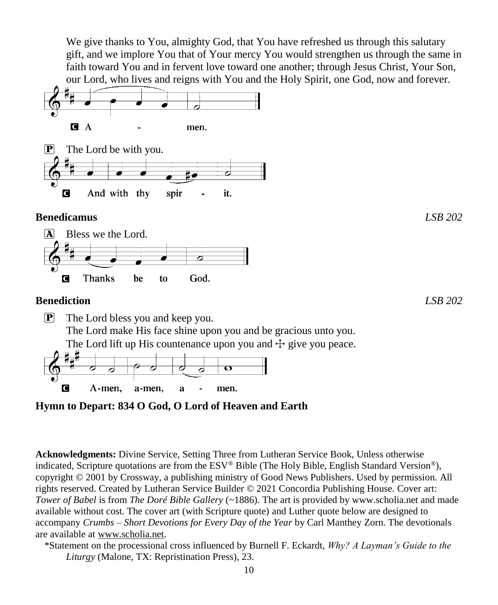We give thanks to You, almighty God, that You have refreshed us through this salutary gift, and we implore You that of Your mercy You would strengthen us through the same in faith toward You and in fervent love toward one another; through Jesus Christ, Your Son, our Lord, who lives and reigns with You and the Holy Spirit, one God, now and forever.

![](_page_9_Figure_1.jpeg)

**Hymn to Depart: 834 O God, O Lord of Heaven and Earth**

**Acknowledgments:** Divine Service, Setting Three from Lutheran Service Book, Unless otherwise indicated, Scripture quotations are from the ESV® Bible (The Holy Bible, English Standard Version®), copyright © 2001 by Crossway, a publishing ministry of Good News Publishers. Used by permission. All rights reserved. Created by Lutheran Service Builder © 2021 Concordia Publishing House. Cover art: *Tower of Babel* is from *The Doré Bible Gallery* (~1886). The art is provided by www.scholia.net and made available without cost. The cover art (with Scripture quote) and Luther quote below are designed to accompany *Crumbs – Short Devotions for Every Day of the Year* by Carl Manthey Zorn. The devotionals are available at [www.scholia.net.](http://www.scholia.net/)

\*Statement on the processional cross influenced by Burnell F. Eckardt, *Why? A Layman's Guide to the Liturgy* (Malone, TX: Repristination Press), 23.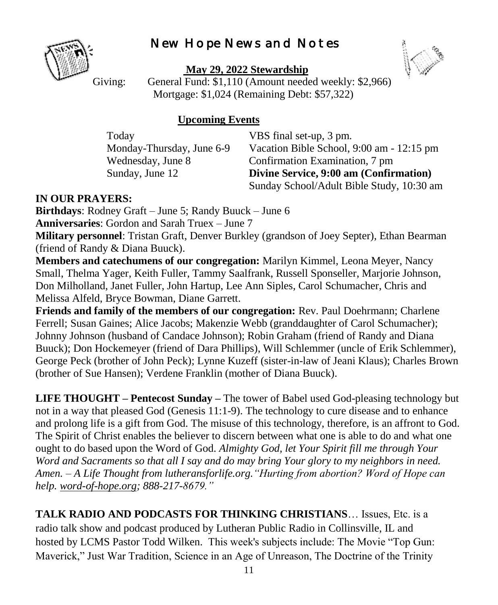# New Hope News and Notes

![](_page_10_Picture_1.jpeg)

**May 29, 2022 Stewardship**

![](_page_10_Picture_3.jpeg)

Giving: General Fund: \$1,110 (Amount needed weekly: \$2,966) Mortgage: \$1,024 (Remaining Debt: \$57,322)

## **Upcoming Events**

Today **VBS** final set-up, 3 pm.

Monday-Thursday, June 6-9 Vacation Bible School, 9:00 am - 12:15 pm Wednesday, June 8 Confirmation Examination, 7 pm Sunday, June 12 **Divine Service, 9:00 am (Confirmation)** Sunday School/Adult Bible Study, 10:30 am

# **IN OUR PRAYERS:**

**Birthdays**: Rodney Graft – June 5; Randy Buuck – June 6 **Anniversaries**: Gordon and Sarah Truex – June 7

**Military personnel**: Tristan Graft, Denver Burkley (grandson of Joey Septer), Ethan Bearman (friend of Randy & Diana Buuck).

**Members and catechumens of our congregation:** Marilyn Kimmel, Leona Meyer, Nancy Small, Thelma Yager, Keith Fuller, Tammy Saalfrank, Russell Sponseller, Marjorie Johnson, Don Milholland, Janet Fuller, John Hartup, Lee Ann Siples, Carol Schumacher, Chris and Melissa Alfeld, Bryce Bowman, Diane Garrett.

**Friends and family of the members of our congregation:** Rev. Paul Doehrmann; Charlene Ferrell; Susan Gaines; Alice Jacobs; Makenzie Webb (granddaughter of Carol Schumacher); Johnny Johnson (husband of Candace Johnson); Robin Graham (friend of Randy and Diana Buuck); Don Hockemeyer (friend of Dara Phillips), Will Schlemmer (uncle of Erik Schlemmer), George Peck (brother of John Peck); Lynne Kuzeff (sister-in-law of Jeani Klaus); Charles Brown (brother of Sue Hansen); Verdene Franklin (mother of Diana Buuck).

**LIFE THOUGHT – Pentecost Sunday –** The tower of Babel used God-pleasing technology but not in a way that pleased God (Genesis 11:1-9). The technology to cure disease and to enhance and prolong life is a gift from God. The misuse of this technology, therefore, is an affront to God. The Spirit of Christ enables the believer to discern between what one is able to do and what one ought to do based upon the Word of God. *Almighty God, let Your Spirit fill me through Your Word and Sacraments so that all I say and do may bring Your glory to my neighbors in need. Amen. – A Life Thought from lutheransforlife.org."Hurting from abortion? Word of Hope can help. [word-of-hope.org;](https://word-of-hope.org/) 888-217-8679."*

**TALK RADIO AND PODCASTS FOR THINKING CHRISTIANS**… Issues, Etc. is a radio talk show and podcast produced by Lutheran Public Radio in Collinsville, IL and hosted by LCMS Pastor Todd Wilken. This week's subjects include: The Movie "Top Gun: Maverick," Just War Tradition, Science in an Age of Unreason, The Doctrine of the Trinity